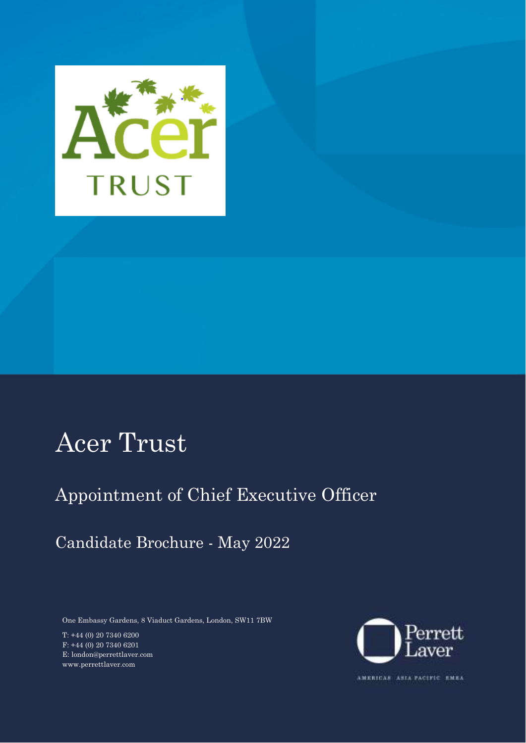

### Acer Trust

### Appointment of Chief Executive Officer

### Candidate Brochure - May 2022

One Embassy Gardens, 8 Viaduct Gardens, London, SW11 7BW

T: +44 (0) 20 7340 6200 F: +44 (0) 20 7340 6201 E: london@perrettlaver.com www.perrettlaver.com



AMERICAS ASIA PACIFIC EMEA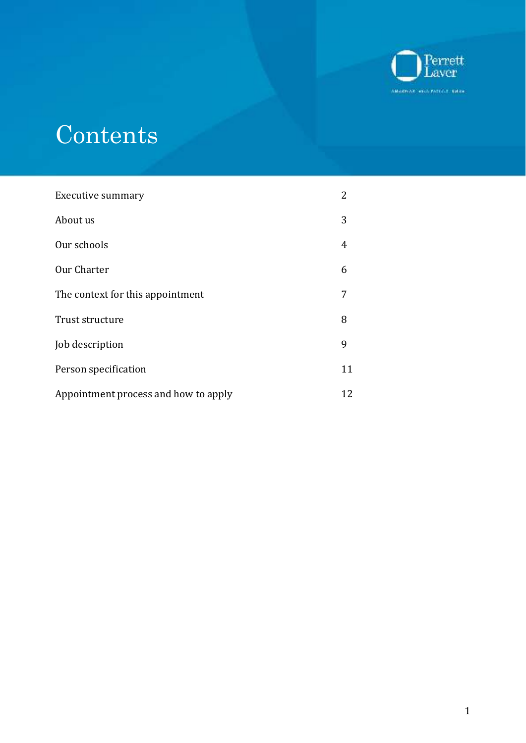

# **Contents**

| <b>Executive summary</b>             | 2  |
|--------------------------------------|----|
| About us                             | 3  |
| Our schools                          | 4  |
| Our Charter                          | 6  |
| The context for this appointment     | 7  |
| Trust structure                      | 8  |
| Job description                      | 9  |
| Person specification                 | 11 |
| Appointment process and how to apply | 12 |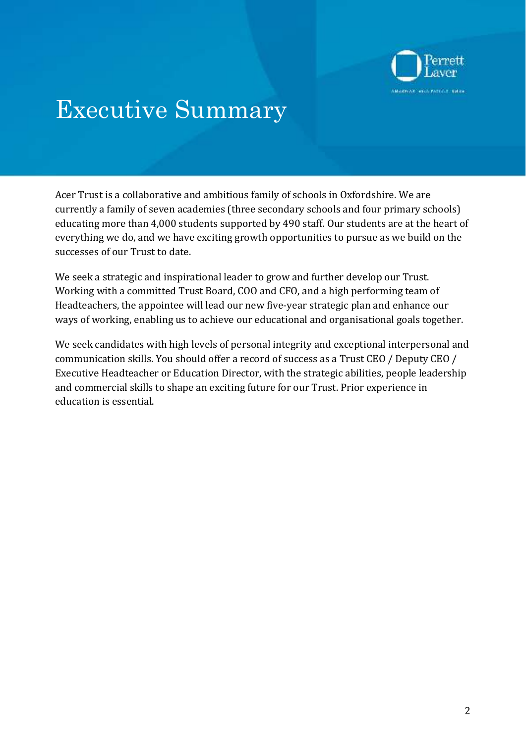

### Executive Summary

Acer Trust is a collaborative and ambitious family of schools in Oxfordshire. We are currently a family of seven academies (three secondary schools and four primary schools) educating more than 4,000 students supported by 490 staff. Our students are at the heart of everything we do, and we have exciting growth opportunities to pursue as we build on the successes of our Trust to date.

We seek a strategic and inspirational leader to grow and further develop our Trust. Working with a committed Trust Board, COO and CFO, and a high performing team of Headteachers, the appointee will lead our new five-year strategic plan and enhance our ways of working, enabling us to achieve our educational and organisational goals together.

We seek candidates with high levels of personal integrity and exceptional interpersonal and communication skills. You should offer a record of success as a Trust CEO / Deputy CEO / Executive Headteacher or Education Director, with the strategic abilities, people leadership and commercial skills to shape an exciting future for our Trust. Prior experience in education is essential.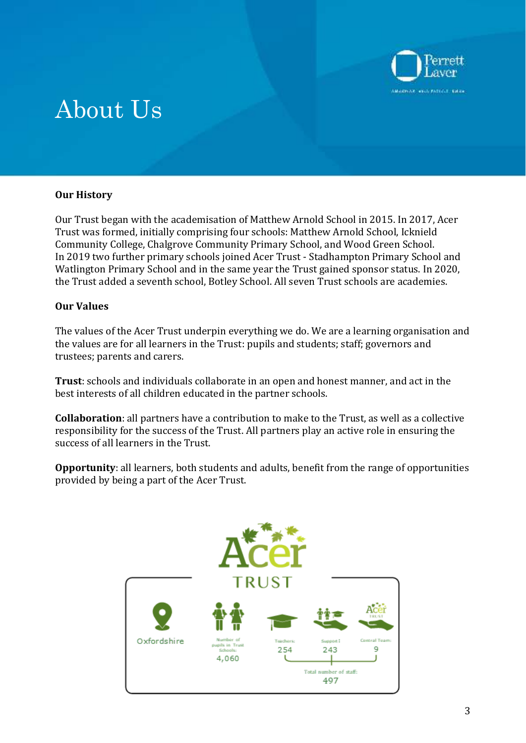

## About Us

### **Our History**

Our Trust began with the academisation of Matthew Arnold School in 2015. In 2017, Acer Trust was formed, initially comprising four schools: Matthew Arnold School, Icknield Community College, Chalgrove Community Primary School, and Wood Green School. In 2019 two further primary schools joined Acer Trust - Stadhampton Primary School and Watlington Primary School and in the same year the Trust gained sponsor status. In 2020, the Trust added a seventh school, Botley School. All seven Trust schools are academies.

### **Our Values**

The values of the Acer Trust underpin everything we do. We are a learning organisation and the values are for all learners in the Trust: pupils and students; staff; governors and trustees; parents and carers.

**Trust**: schools and individuals collaborate in an open and honest manner, and act in the best interests of all children educated in the partner schools.

**Collaboration**: all partners have a contribution to make to the Trust, as well as a collective responsibility for the success of the Trust. All partners play an active role in ensuring the success of all learners in the Trust.

**Opportunity**: all learners, both students and adults, benefit from the range of opportunities provided by being a part of the Acer Trust.

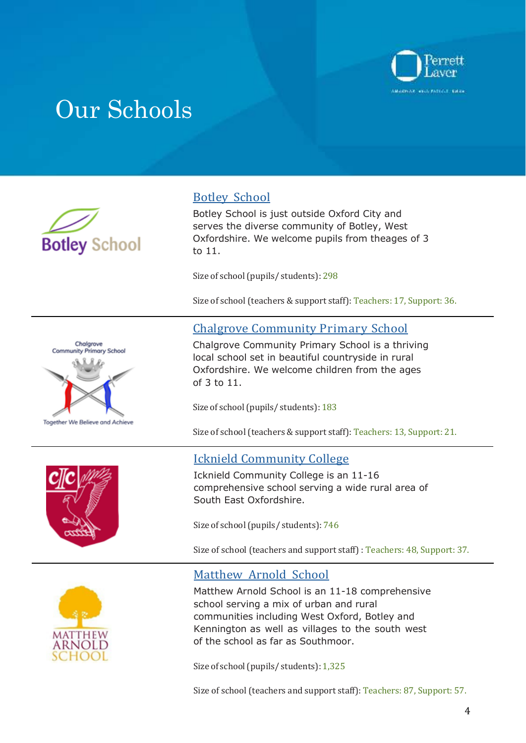

### Our Schools









### Botley School

Botley School is just outside Oxford City and serves the diverse community of Botley, West Oxfordshire. We welcome pupils from the ages of 3 to 11.

Size of school (pupils/ students): 298

Size of school (teachers & support staff): Teachers: 17, Support: 36.

### Chalgrove Community Primary School

Chalgrove Community Primary School is a thriving local school set in beautiful countryside in rural Oxfordshire. We welcome children from the ages of 3 to 11.

Size of school (pupils/ students): 183

Size of school (teachers & support staff): Teachers: 13, Support: 21.

### Icknield Community College

Icknield Community College is an 11-16 comprehensive school serving a wide rural area of South East Oxfordshire.

Size of school (pupils/ students): 746

Size of school (teachers and support staff) : Teachers: 48, Support: 37.

### Matthew Arnold School

Matthew Arnold School is an 11-18 comprehensive school serving a mix of urban and rural communities including West Oxford, Botley and Kennington as well as villages to the south west of the school as far as Southmoor.

Size of school (pupils/ students): 1,325

Size of school (teachers and support staff): Teachers: 87, Support: 57.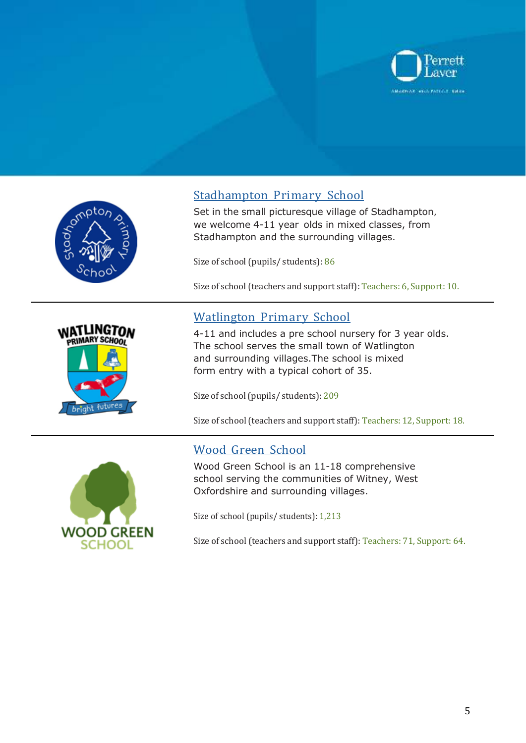







we welcome 4-11 year olds in mixed classes, from Stadhampton and the surrounding villages. Set in the small picturesque village of Stadhampton,

Size of school (pupils/ students): 86

Size of school (teachers and support staff): Teachers: 6, Support: 10.

### Watlington Primary School

4-11 and includes a pre school nursery for 3 year olds. The school serves the small town of Watlington and surrounding villages. The school is mixed form entry with a typical cohort of 35.

Size of school (pupils/ students): 209

Size of school (teachers and support staff): Teachers: 12, Support: 18.

### Wood Green School

Wood Green School is an 11-18 comprehensive school serving the communities of Witney, West Oxfordshire and surrounding villages.

Size of school (pupils/ students): 1,213

Size of school (teachers and support staff): Teachers: 71, Support: 64.

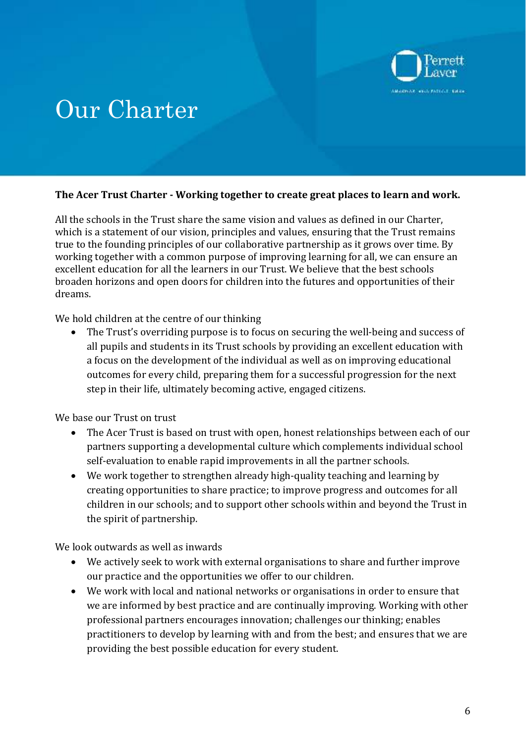

### Our Charter

### **The Acer Trust Charter - Working together to create great places to learn and work.**

All the schools in the Trust share the same vision and values as defined in our Charter, which is a statement of our vision, principles and values, ensuring that the Trust remains true to the founding principles of our collaborative partnership as it grows over time. By working together with a common purpose of improving learning for all, we can ensure an excellent education for all the learners in our Trust. We believe that the best schools broaden horizons and open doors for children into the futures and opportunities of their dreams.

We hold children at the centre of our thinking

 The Trust's overriding purpose is to focus on securing the well-being and success of all pupils and students in its Trust schools by providing an excellent education with a focus on the development of the individual as well as on improving educational outcomes for every child, preparing them for a successful progression for the next step in their life, ultimately becoming active, engaged citizens.

We base our Trust on trust

- The Acer Trust is based on trust with open, honest relationships between each of our partners supporting a developmental culture which complements individual school self-evaluation to enable rapid improvements in all the partner schools.
- We work together to strengthen already high-quality teaching and learning by creating opportunities to share practice; to improve progress and outcomes for all children in our schools; and to support other schools within and beyond the Trust in the spirit of partnership.

We look outwards as well as inwards

- We actively seek to work with external organisations to share and further improve our practice and the opportunities we offer to our children.
- We work with local and national networks or organisations in order to ensure that we are informed by best practice and are continually improving. Working with other professional partners encourages innovation; challenges our thinking; enables practitioners to develop by learning with and from the best; and ensures that we are providing the best possible education for every student.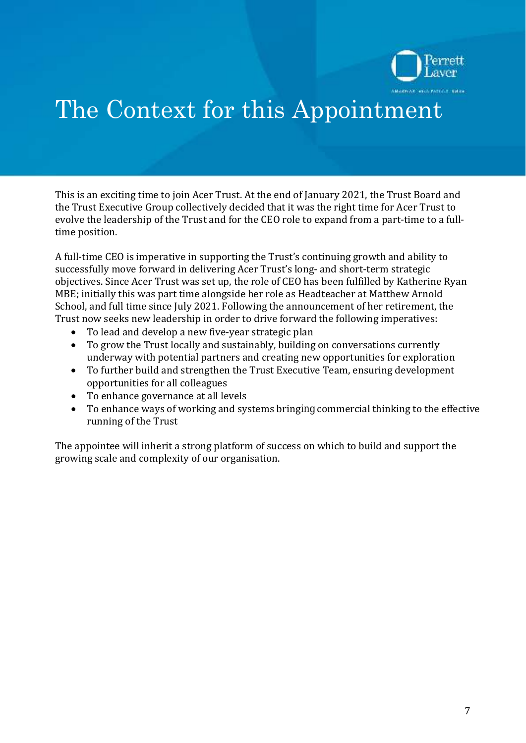

## The Context for this Appointment

This is an exciting time to join Acer Trust. At the end of January 2021, the Trust Board and the Trust Executive Group collectively decided that it was the right time for Acer Trust to evolve the leadership of the Trust and for the CEO role to expand from a part-time to a fulltime position.

A full-time CEO is imperative in supporting the Trust's continuing growth and ability to successfully move forward in delivering Acer Trust's long- and short-term strategic objectives. Since Acer Trust was set up, the role of CEO has been fulfilled by Katherine Ryan MBE; initially this was part time alongside her role as Headteacher at Matthew Arnold School, and full time since July 2021. Following the announcement of her retirement, the Trust now seeks new leadership in order to drive forward the following imperatives:

- To lead and develop a new five-year strategic plan
- To grow the Trust locally and sustainably, building on conversations currently underway with potential partners and creating new opportunities for exploration
- To further build and strengthen the Trust Executive Team, ensuring development opportunities for all colleagues
- To enhance governance at all levels
- running of the Trust To enhance ways of working and systems bringing commercial thinking to the effective

The appointee will inherit a strong platform of success on which to build and support the growing scale and complexity of our organisation.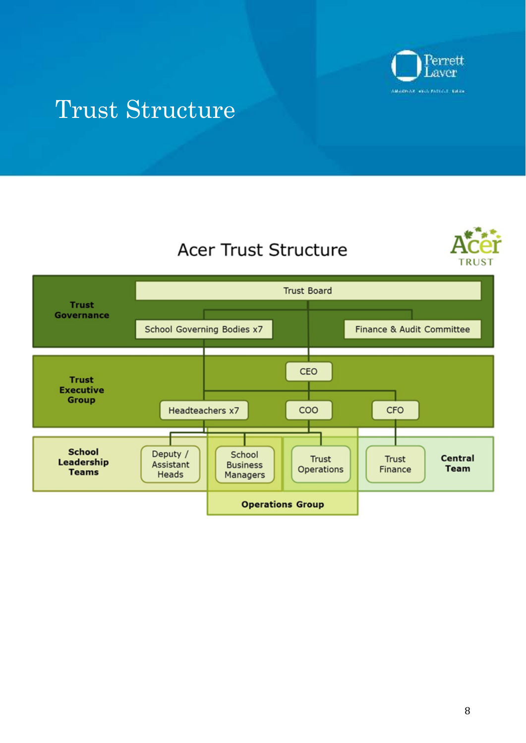

### Trust Structure





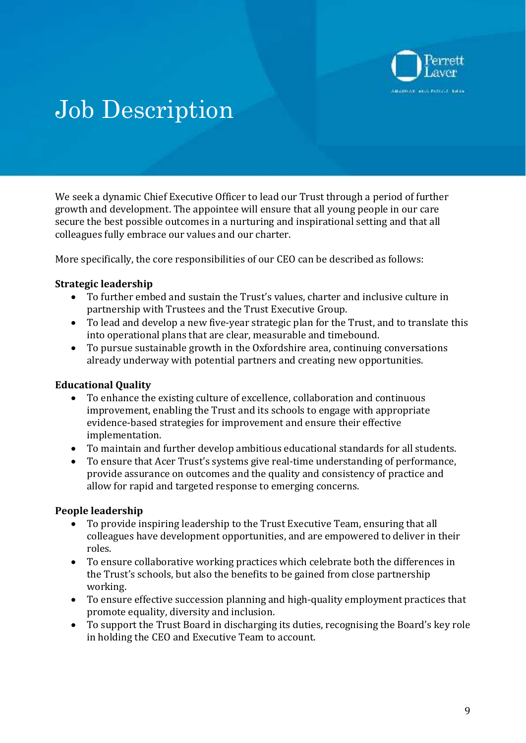

## Job Description

We seek a dynamic Chief Executive Officer to lead our Trust through a period of further growth and development. The appointee will ensure that all young people in our care secure the best possible outcomes in a nurturing and inspirational setting and that all colleagues fully embrace our values and our charter.

More specifically, the core responsibilities of our CEO can be described as follows:

### **Strategic leadership**

- To further embed and sustain the Trust's values, charter and inclusive culture in partnership with Trustees and the Trust Executive Group.
- To lead and develop a new five-year strategic plan for the Trust, and to translate this into operational plans that are clear, measurable and timebound.
- To pursue sustainable growth in the Oxfordshire area, continuing conversations already underway with potential partners and creating new opportunities.

### **Educational Quality**

- To enhance the existing culture of excellence, collaboration and continuous improvement, enabling the Trust and its schools to engage with appropriate evidence-based strategies for improvement and ensure their effective implementation.
- To maintain and further develop ambitious educational standards for all students.
- To ensure that Acer Trust's systems give real-time understanding of performance, provide assurance on outcomes and the quality and consistency of practice and allow for rapid and targeted response to emerging concerns.

### **People leadership**

- To provide inspiring leadership to the Trust Executive Team, ensuring that all colleagues have development opportunities, and are empowered to deliver in their roles.
- To ensure collaborative working practices which celebrate both the differences in the Trust's schools, but also the benefits to be gained from close partnership working.
- To ensure effective succession planning and high-quality employment practices that promote equality, diversity and inclusion.
- To support the Trust Board in discharging its duties, recognising the Board's key role in holding the CEO and Executive Team to account.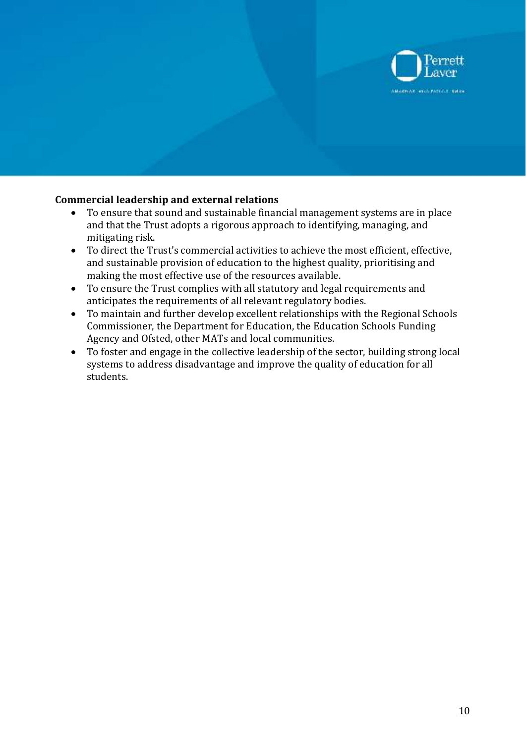

### **Commercial leadership and external relations**

- To ensure that sound and sustainable financial management systems are in place and that the Trust adopts a rigorous approach to identifying, managing, and mitigating risk.
- To direct the Trust's commercial activities to achieve the most efficient, effective, and sustainable provision of education to the highest quality, prioritising and making the most effective use of the resources available.
- To ensure the Trust complies with all statutory and legal requirements and anticipates the requirements of all relevant regulatory bodies.
- To maintain and further develop excellent relationships with the Regional Schools Commissioner, the Department for Education, the Education Schools Funding Agency and Ofsted, other MATs and local communities.
- To foster and engage in the collective leadership of the sector, building strong local systems to address disadvantage and improve the quality of education for all students.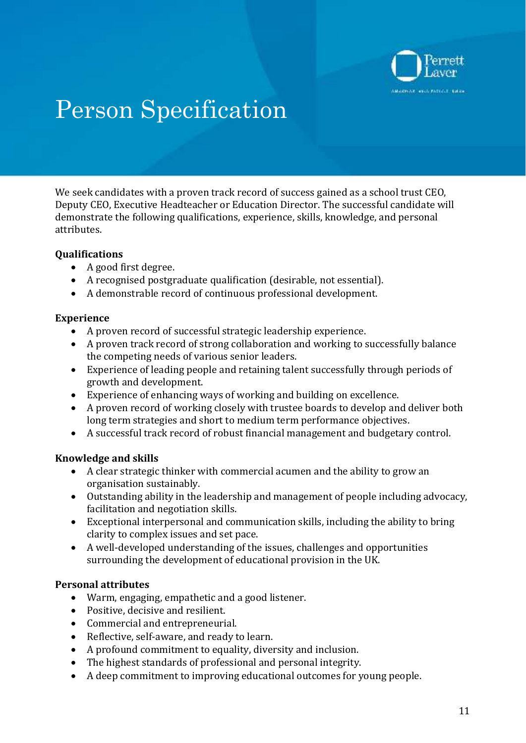

# Person Specification

We seek candidates with a proven track record of success gained as a school trust CEO, Deputy CEO, Executive Headteacher or Education Director. The successful candidate will demonstrate the following qualifications, experience, skills, knowledge, and personal attributes.

### **Qualifications**

- A good first degree.
- A recognised postgraduate qualification (desirable, not essential).
- A demonstrable record of continuous professional development.

### **Experience**

- A proven record of successful strategic leadership experience.
- A proven track record of strong collaboration and working to successfully balance the competing needs of various senior leaders.
- Experience of leading people and retaining talent successfully through periods of growth and development.
- Experience of enhancing ways of working and building on excellence.
- A proven record of working closely with trustee boards to develop and deliver both long term strategies and short to medium term performance objectives.
- A successful track record of robust financial management and budgetary control.

### **Knowledge and skills**

- A clear strategic thinker with commercial acumen and the ability to grow an organisation sustainably.
- Outstanding ability in the leadership and management of people including advocacy, facilitation and negotiation skills.
- Exceptional interpersonal and communication skills, including the ability to bring clarity to complex issues and set pace.
- A well-developed understanding of the issues, challenges and opportunities surrounding the development of educational provision in the UK.

### **Personal attributes**

- Warm, engaging, empathetic and a good listener.
- Positive, decisive and resilient.
- Commercial and entrepreneurial.
- Reflective, self-aware, and ready to learn.
- A profound commitment to equality, diversity and inclusion.
- The highest standards of professional and personal integrity.
- A deep commitment to improving educational outcomes for young people.